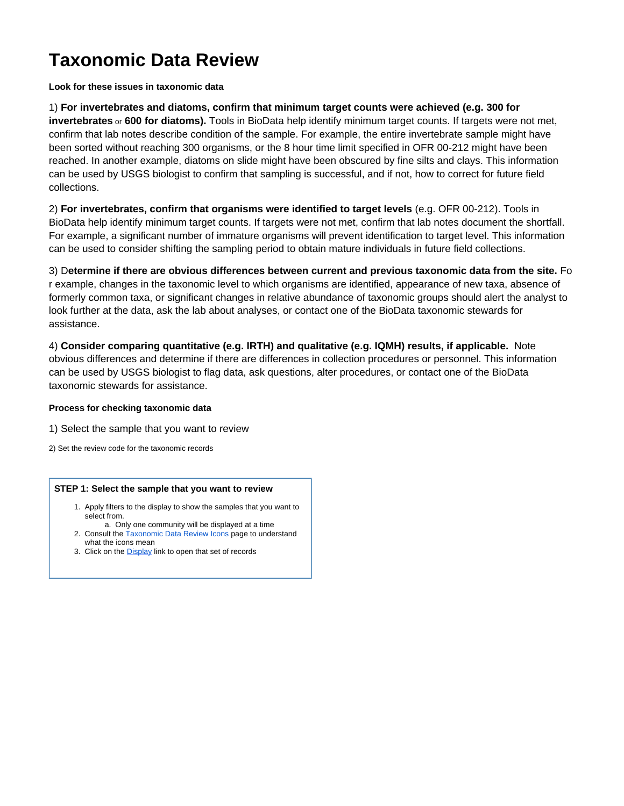# **Taxonomic Data Review**

## **Look for these issues in taxonomic data**

1) **For invertebrates and diatoms, confirm that minimum target counts were achieved (e.g. 300 for invertebrates** or **600 for diatoms).** Tools in BioData help identify minimum target counts. If targets were not met, confirm that lab notes describe condition of the sample. For example, the entire invertebrate sample might have been sorted without reaching 300 organisms, or the 8 hour time limit specified in OFR 00-212 might have been reached. In another example, diatoms on slide might have been obscured by fine silts and clays. This information can be used by USGS biologist to confirm that sampling is successful, and if not, how to correct for future field collections.

2) **For invertebrates, confirm that organisms were identified to target levels** (e.g. OFR 00-212). Tools in BioData help identify minimum target counts. If targets were not met, confirm that lab notes document the shortfall. For example, a significant number of immature organisms will prevent identification to target level. This information can be used to consider shifting the sampling period to obtain mature individuals in future field collections.

3) D**etermine if there are obvious differences between current and previous taxonomic data from the site.** Fo r example, changes in the taxonomic level to which organisms are identified, appearance of new taxa, absence of formerly common taxa, or significant changes in relative abundance of taxonomic groups should alert the analyst to look further at the data, ask the lab about analyses, or contact one of the BioData taxonomic stewards for assistance.

4) **Consider comparing quantitative (e.g. IRTH) and qualitative (e.g. IQMH) results, if applicable.** Note obvious differences and determine if there are differences in collection procedures or personnel. This information can be used by USGS biologist to flag data, ask questions, alter procedures, or contact one of the BioData taxonomic stewards for assistance.

### **Process for checking taxonomic data**

1) [Select the sample that you want to review](#page-0-0)

2) [Set the review code for the taxonomic records](#page-1-0)

#### <span id="page-0-0"></span>**STEP 1: Select the sample that you want to review**

- 1. Apply filters to the display to show the samples that you want to select from.
- a. Only one community will be displayed at a time 2. Consult the [Taxonomic Data Review Icons](https://my.usgs.gov/confluence/display/biodata/Taxonomic+Data+Review+Icons) page to understand what the icons mean
- 3. Click on the **[Display](#page-2-0)** link to open that set of records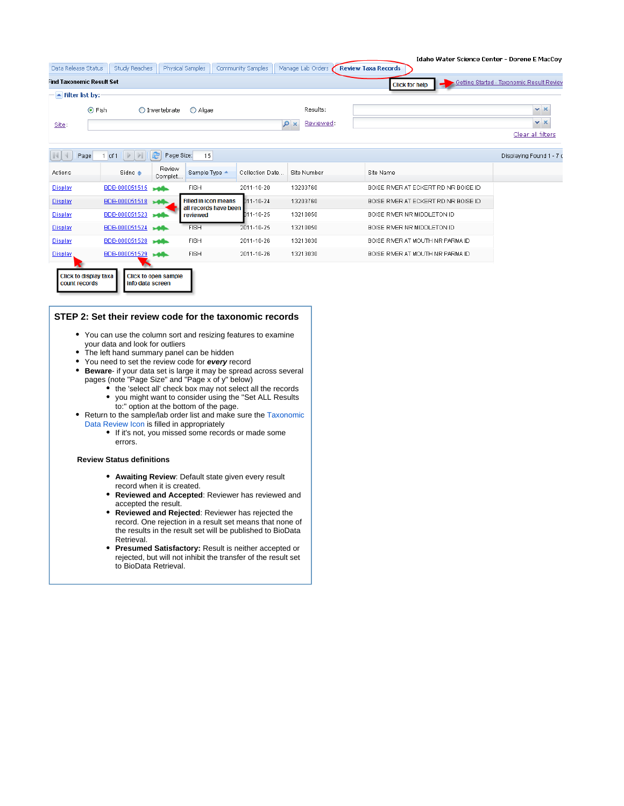|         |                                  |                                  |                         |                                                      |                   |                   |                                      |                     | Idaho Water Science Center - Dorene E MacCoy |
|---------|----------------------------------|----------------------------------|-------------------------|------------------------------------------------------|-------------------|-------------------|--------------------------------------|---------------------|----------------------------------------------|
|         | Data Release Status              | <b>Study Reaches</b>             |                         | Physical Samples                                     | Community Samples | Manage Lab Orders | <b>Review Taxa Records</b>           |                     |                                              |
|         | <b>Find Taxonomic Result Set</b> |                                  |                         |                                                      |                   |                   | <b>Click for help</b>                |                     | Getting Started - Taxonomic Result Review    |
|         | $\blacktriangle$ Filter list by: |                                  |                         |                                                      |                   |                   |                                      |                     |                                              |
|         | ⊙ Fish                           |                                  | $\bigcirc$ Invertebrate | O Algae                                              |                   | Results:          |                                      | $\mathbf{v} \times$ |                                              |
| Site:   |                                  |                                  |                         |                                                      |                   | Reviewed:<br>۹    |                                      |                     | $\mathbf{v} \times$                          |
|         |                                  |                                  |                         |                                                      |                   |                   |                                      |                     | Clear all filters                            |
|         |                                  |                                  |                         |                                                      |                   |                   |                                      |                     |                                              |
|         | Page                             | $1$ of $1$ $\blacktriangleright$ | æ<br>Page Size:         | 15                                                   |                   |                   |                                      |                     | Displaying Found 1 - 7 c                     |
| Actions |                                  | Sidno $\triangle$                | Review<br>Complet       | Sample Type +                                        | Collection Date.  | Site Number       | Site Name                            |                     |                                              |
| Display |                                  | BDB-000051515                    | تقامع                   | <b>FISH</b>                                          | 2011-10-20        | 13203760          | BOISE RIVER AT ECKERT RD NR BOISE ID |                     |                                              |
| Display |                                  | BDB-000051518                    |                         | <b>Filled in icon means</b><br>all records have been | $D11 - 10 - 24$   | 13203760          | BOISE RIVER AT ECKERT RD NR BOISE ID |                     |                                              |
| Display |                                  | BDB-000051523                    |                         | reviewed                                             | 011-10-25         | 13210050          | BOISE RIVER NR MIDDLETON ID          |                     |                                              |
| Display |                                  | BDB-000051524                    | فافد                    | <b>FISH</b>                                          | 2011-10-25        | 13210050          | BOISE RIVER NR MIDDLETON ID          |                     |                                              |
| Display |                                  | BDB-000051528                    | <b>SAIN</b>             | <b>FISH</b>                                          | 2011-10-26        | 13213030          | BOISE RIVER AT MOUTH NR PARMA ID     |                     |                                              |
| Display |                                  | BDB-000051529                    | <b>SAIN</b>             | <b>FISH</b>                                          | 2011-10-26        | 13213030          | BOISE RIVER AT MOUTH NR PARMA ID     |                     |                                              |

#### <span id="page-1-0"></span>**STEP 2: Set their review code for the taxonomic records**

- You can use the column sort and resizing features to examine your data and look for outliers
- The left hand summary panel can be hidden

Click to open sample<br>info data screen

- You need to set the review code for **every** record
- **Beware** if your data set is large it may be spread across several pages (note "Page Size" and "Page x of y" below)
	- the 'select all' check box may not select all the records you might want to consider using the "Set ALL Results
		- to:" option at the bottom of the page.
- Return to the sample/lab order list and make sure the [Taxonomic](https://my.usgs.gov/confluence/display/biodata/Taxonomic+Data+Review+Icons) [Data Review Icon](https://my.usgs.gov/confluence/display/biodata/Taxonomic+Data+Review+Icons) is filled in appropriately
	- If it's not, you missed some records or made some errors.

#### **Review Status definitions**

Click to display taxa<br>count records

- **Awaiting Review**: Default state given every result record when it is created.
- **Reviewed and Accepted**: Reviewer has reviewed and  $\bullet$ accepted the result.
- **Reviewed and Rejected**: Reviewer has rejected the record. One rejection in a result set means that none of the results in the result set will be published to BioData Retrieval.
- **Presumed Satisfactory:** Result is neither accepted or rejected, but will not inhibit the transfer of the result set to BioData Retrieval.